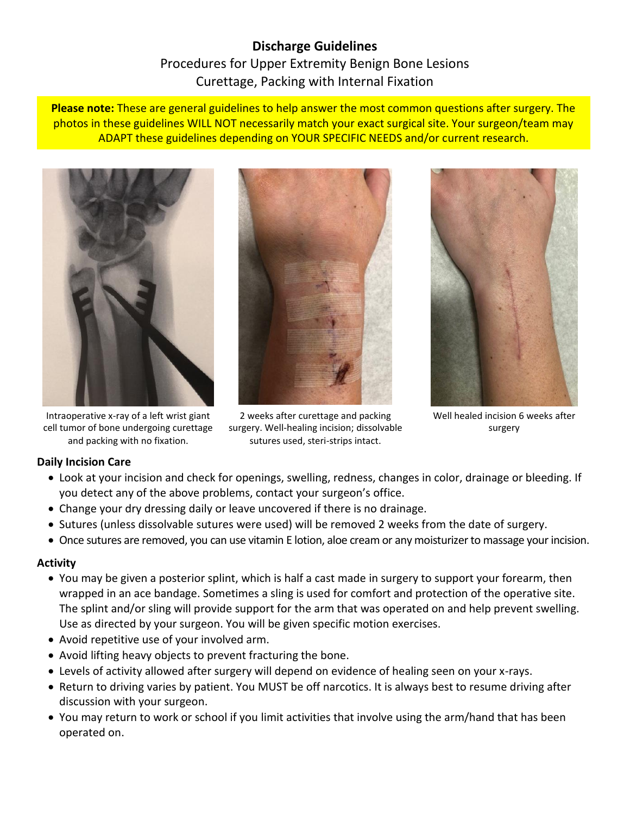# **Discharge Guidelines** Procedures for Upper Extremity Benign Bone Lesions Curettage, Packing with Internal Fixation

**Please note:** These are general guidelines to help answer the most common questions after surgery. The photos in these guidelines WILL NOT necessarily match your exact surgical site. Your surgeon/team may ADAPT these guidelines depending on YOUR SPECIFIC NEEDS and/or current research.



Intraoperative x-ray of a left wrist giant cell tumor of bone undergoing curettage and packing with no fixation.



2 weeks after curettage and packing surgery. Well-healing incision; dissolvable sutures used, steri-strips intact.



Well healed incision 6 weeks after surgery

# **Daily Incision Care**

- Look at your incision and check for openings, swelling, redness, changes in color, drainage or bleeding. If you detect any of the above problems, contact your surgeon's office.
- Change your dry dressing daily or leave uncovered if there is no drainage.
- Sutures (unless dissolvable sutures were used) will be removed 2 weeks from the date of surgery.
- Once sutures are removed, you can use vitamin E lotion, aloe cream or any moisturizer to massage your incision.

#### **Activity**

- You may be given a posterior splint, which is half a cast made in surgery to support your forearm, then wrapped in an ace bandage. Sometimes a sling is used for comfort and protection of the operative site. The splint and/or sling will provide support for the arm that was operated on and help prevent swelling. Use as directed by your surgeon. You will be given specific motion exercises.
- Avoid repetitive use of your involved arm.
- Avoid lifting heavy objects to prevent fracturing the bone.
- Levels of activity allowed after surgery will depend on evidence of healing seen on your x-rays.
- Return to driving varies by patient. You MUST be off narcotics. It is always best to resume driving after discussion with your surgeon.
- You may return to work or school if you limit activities that involve using the arm/hand that has been operated on.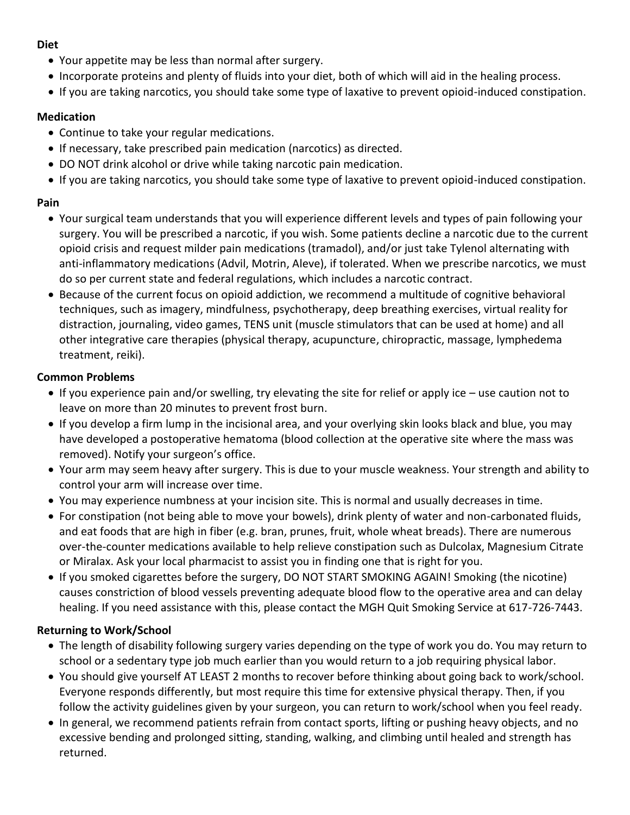#### **Diet**

- Your appetite may be less than normal after surgery.
- Incorporate proteins and plenty of fluids into your diet, both of which will aid in the healing process.
- If you are taking narcotics, you should take some type of laxative to prevent opioid-induced constipation.

#### **Medication**

- Continue to take your regular medications.
- If necessary, take prescribed pain medication (narcotics) as directed.
- DO NOT drink alcohol or drive while taking narcotic pain medication.
- If you are taking narcotics, you should take some type of laxative to prevent opioid-induced constipation.

## **Pain**

- Your surgical team understands that you will experience different levels and types of pain following your surgery. You will be prescribed a narcotic, if you wish. Some patients decline a narcotic due to the current opioid crisis and request milder pain medications (tramadol), and/or just take Tylenol alternating with anti-inflammatory medications (Advil, Motrin, Aleve), if tolerated. When we prescribe narcotics, we must do so per current state and federal regulations, which includes a narcotic contract.
- Because of the current focus on opioid addiction, we recommend a multitude of cognitive behavioral techniques, such as imagery, mindfulness, psychotherapy, deep breathing exercises, virtual reality for distraction, journaling, video games, TENS unit (muscle stimulators that can be used at home) and all other integrative care therapies (physical therapy, acupuncture, chiropractic, massage, lymphedema treatment, reiki).

## **Common Problems**

- If you experience pain and/or swelling, try elevating the site for relief or apply ice use caution not to leave on more than 20 minutes to prevent frost burn.
- If you develop a firm lump in the incisional area, and your overlying skin looks black and blue, you may have developed a postoperative hematoma (blood collection at the operative site where the mass was removed). Notify your surgeon's office.
- Your arm may seem heavy after surgery. This is due to your muscle weakness. Your strength and ability to control your arm will increase over time.
- You may experience numbness at your incision site. This is normal and usually decreases in time.
- For constipation (not being able to move your bowels), drink plenty of water and non-carbonated fluids, and eat foods that are high in fiber (e.g. bran, prunes, fruit, whole wheat breads). There are numerous over-the-counter medications available to help relieve constipation such as Dulcolax, Magnesium Citrate or Miralax. Ask your local pharmacist to assist you in finding one that is right for you.
- If you smoked cigarettes before the surgery, DO NOT START SMOKING AGAIN! Smoking (the nicotine) causes constriction of blood vessels preventing adequate blood flow to the operative area and can delay healing. If you need assistance with this, please contact the MGH Quit Smoking Service at 617-726-7443.

# **Returning to Work/School**

- The length of disability following surgery varies depending on the type of work you do. You may return to school or a sedentary type job much earlier than you would return to a job requiring physical labor.
- You should give yourself AT LEAST 2 months to recover before thinking about going back to work/school. Everyone responds differently, but most require this time for extensive physical therapy. Then, if you follow the activity guidelines given by your surgeon, you can return to work/school when you feel ready.
- In general, we recommend patients refrain from contact sports, lifting or pushing heavy objects, and no excessive bending and prolonged sitting, standing, walking, and climbing until healed and strength has returned.